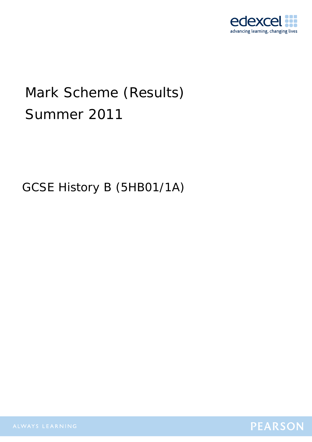

# Mark Scheme (Results) Summer 2011

GCSE History B (5HB01/1A)



Edexcel Limited. Registered in England and Wales No. 4496750 Registered Office: One90 High Holborn, London WC1V 7BH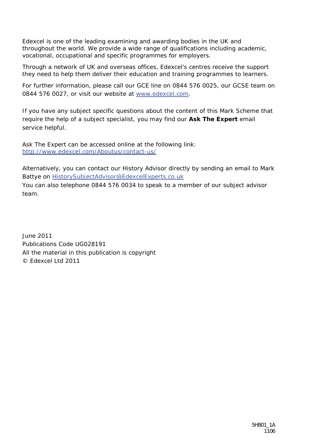Edexcel is one of the leading examining and awarding bodies in the UK and throughout the world. We provide a wide range of qualifications including academic, vocational, occupational and specific programmes for employers.

Through a network of UK and overseas offices, Edexcel's centres receive the support they need to help them deliver their education and training programmes to learners.

For further information, please call our GCE line on 0844 576 0025, our GCSE team on 0844 576 0027, or visit our website at www.edexcel.com.

If you have any subject specific questions about the content of this Mark Scheme that require the help of a subject specialist, you may find our **Ask The Expert** email service helpful.

Ask The Expert can be accessed online at the following link: http://www.edexcel.com/Aboutus/contact-us/

Alternatively, you can contact our History Advisor directly by sending an email to Mark Battye on HistorySubjectAdvisor@EdexcelExperts.co.uk

You can also telephone 0844 576 0034 to speak to a member of our subject advisor team.

June 2011 Publications Code UG028191 All the material in this publication is copyright © Edexcel Ltd 2011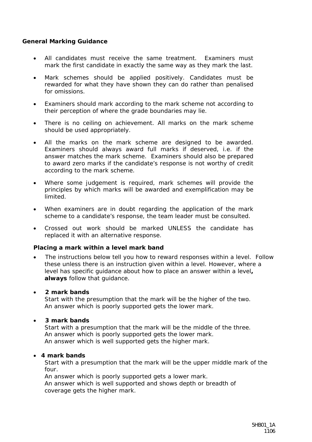### **General Marking Guidance**

- All candidates must receive the same treatment. Examiners must mark the first candidate in exactly the same way as they mark the last.
- Mark schemes should be applied positively. Candidates must be rewarded for what they have shown they can do rather than penalised for omissions.
- Examiners should mark according to the mark scheme not according to their perception of where the grade boundaries may lie.
- There is no ceiling on achievement. All marks on the mark scheme should be used appropriately.
- All the marks on the mark scheme are designed to be awarded. Examiners should always award full marks if deserved, i.e. if the answer matches the mark scheme. Examiners should also be prepared to award zero marks if the candidate's response is not worthy of credit according to the mark scheme.
- Where some judgement is required, mark schemes will provide the principles by which marks will be awarded and exemplification may be limited.
- When examiners are in doubt regarding the application of the mark scheme to a candidate's response, the team leader must be consulted.
- Crossed out work should be marked UNLESS the candidate has replaced it with an alternative response.

#### **Placing a mark within a level mark band**

• The instructions below tell you how to reward responses within a level. Follow these unless there is an instruction given within a level. However, where a level has specific guidance about how to place an answer within a level**, always** follow that guidance.

#### • **2 mark bands**

Start with the presumption that the mark will be the higher of the two. An answer which is poorly supported gets the lower mark.

#### • **3 mark bands**

Start with a presumption that the mark will be the middle of the three. An answer which is poorly supported gets the lower mark. An answer which is well supported gets the higher mark.

#### • **4 mark bands**

Start with a presumption that the mark will be the upper middle mark of the four.

An answer which is poorly supported gets a lower mark. An answer which is well supported and shows depth or breadth of coverage gets the higher mark.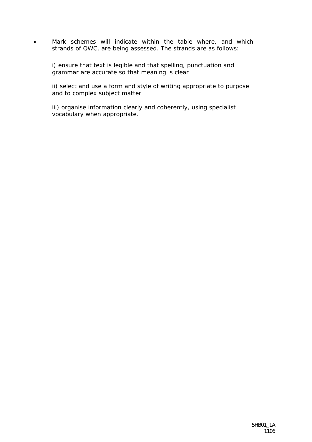• Mark schemes will indicate within the table where, and which strands of QWC, are being assessed. The strands are as follows:

*i) ensure that text is legible and that spelling, punctuation and grammar are accurate so that meaning is clear* 

*ii) select and use a form and style of writing appropriate to purpose and to complex subject matter* 

*iii) organise information clearly and coherently, using specialist vocabulary when appropriate.*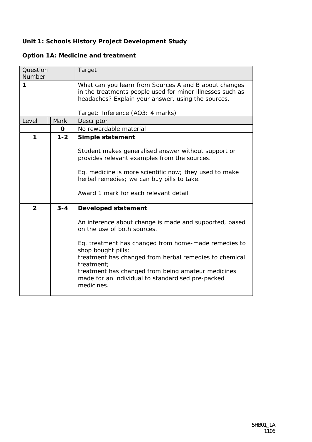## **Unit 1: Schools History Project Development Study**

|  |  |  |  | <b>Option 1A: Medicine and treatment</b> |
|--|--|--|--|------------------------------------------|
|--|--|--|--|------------------------------------------|

| Question<br>Number |             | Target                                                                                                                                                                                                                                                                                                                                                                                             |
|--------------------|-------------|----------------------------------------------------------------------------------------------------------------------------------------------------------------------------------------------------------------------------------------------------------------------------------------------------------------------------------------------------------------------------------------------------|
| 1                  |             | What can you learn from Sources A and B about changes<br>in the treatments people used for minor illnesses such as<br>headaches? Explain your answer, using the sources.<br>Target: Inference (AO3: 4 marks)                                                                                                                                                                                       |
| Level              | <b>Mark</b> | Descriptor                                                                                                                                                                                                                                                                                                                                                                                         |
|                    | $\mathbf 0$ | No rewardable material                                                                                                                                                                                                                                                                                                                                                                             |
| 1                  | $1 - 2$     | Simple statement<br>Student makes generalised answer without support or                                                                                                                                                                                                                                                                                                                            |
|                    |             | provides relevant examples from the sources.<br>Eg. medicine is more scientific now; they used to make<br>herbal remedies; we can buy pills to take.<br>Award 1 mark for each relevant detail.                                                                                                                                                                                                     |
| $\overline{2}$     | $3 - 4$     | <b>Developed statement</b><br>An inference about change is made and supported, based<br>on the use of both sources.<br>Eg. treatment has changed from home-made remedies to<br>shop bought pills;<br>treatment has changed from herbal remedies to chemical<br>treatment;<br>treatment has changed from being amateur medicines<br>made for an individual to standardised pre-packed<br>medicines. |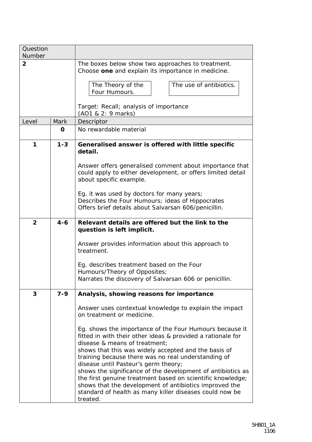| Question       |         |                                                                                                                                                                                 |
|----------------|---------|---------------------------------------------------------------------------------------------------------------------------------------------------------------------------------|
| Number         |         |                                                                                                                                                                                 |
| $\overline{2}$ |         | The boxes below show two approaches to treatment.<br>Choose one and explain its importance in medicine.                                                                         |
|                |         | The Theory of the<br>The use of antibiotics.<br>Four Humours.                                                                                                                   |
|                |         | Target: Recall; analysis of importance<br>(AO1 & 2: 9 marks)                                                                                                                    |
| Level          | Mark    | Descriptor                                                                                                                                                                      |
|                | 0       | No rewardable material                                                                                                                                                          |
| 1              | $1 - 3$ | Generalised answer is offered with little specific<br>detail.                                                                                                                   |
|                |         | Answer offers generalised comment about importance that<br>could apply to either development, or offers limited detail<br>about specific example.                               |
|                |         | Eg. it was used by doctors for many years;<br>Describes the Four Humours; ideas of Hippocrates<br>Offers brief details about Salvarsan 606/penicillin.                          |
| $\overline{2}$ | $4 - 6$ | Relevant details are offered but the link to the<br>question is left implicit.                                                                                                  |
|                |         | Answer provides information about this approach to<br>treatment.                                                                                                                |
|                |         | Eg. describes treatment based on the Four                                                                                                                                       |
|                |         | Humours/Theory of Opposites;                                                                                                                                                    |
|                |         | Narrates the discovery of Salvarsan 606 or penicillin.                                                                                                                          |
| 3              | $7 - 9$ | Analysis, showing reasons for importance                                                                                                                                        |
|                |         | Answer uses contextual knowledge to explain the impact<br>on treatment or medicine.                                                                                             |
|                |         | Eg. shows the importance of the Four Humours because it<br>fitted in with their other ideas & provided a rationale for<br>disease & means of treatment;                         |
|                |         | shows that this was widely accepted and the basis of<br>training because there was no real understanding of                                                                     |
|                |         | disease until Pasteur's germ theory;                                                                                                                                            |
|                |         | shows the significance of the development of antibiotics as                                                                                                                     |
|                |         | the first genuine treatment based on scientific knowledge;<br>shows that the development of antibiotics improved the<br>standard of health as many killer diseases could now be |
|                |         | treated.                                                                                                                                                                        |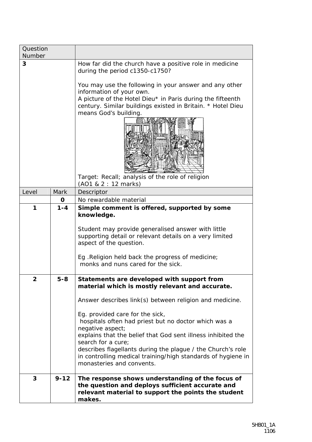| Question<br>Number |          |                                                                                                                                                                                                                                                                                                                                                                                                                                                                                                                           |
|--------------------|----------|---------------------------------------------------------------------------------------------------------------------------------------------------------------------------------------------------------------------------------------------------------------------------------------------------------------------------------------------------------------------------------------------------------------------------------------------------------------------------------------------------------------------------|
| 3                  |          | How far did the church have a positive role in medicine<br>during the period c1350-c1750?<br>You may use the following in your answer and any other<br>information of your own.<br>A picture of the Hotel Dieu* in Paris during the fifteenth<br>century. Similar buildings existed in Britain. * Hotel Dieu<br>means God's building.<br>Target: Recall; analysis of the role of religion                                                                                                                                 |
|                    |          | (AO1 & 2 : 12 marks)                                                                                                                                                                                                                                                                                                                                                                                                                                                                                                      |
| Level              | Mark     | Descriptor                                                                                                                                                                                                                                                                                                                                                                                                                                                                                                                |
|                    | 0        | No rewardable material                                                                                                                                                                                                                                                                                                                                                                                                                                                                                                    |
| 1                  | $1 - 4$  | Simple comment is offered, supported by some<br>knowledge.<br>Student may provide generalised answer with little<br>supporting detail or relevant details on a very limited<br>aspect of the question.<br>Eg. Religion held back the progress of medicine;<br>monks and nuns cared for the sick.                                                                                                                                                                                                                          |
| ∠                  | ၁-ဝ      | Statements are developed with support from<br>material which is mostly relevant and accurate.<br>Answer describes link(s) between religion and medicine.<br>Eg. provided care for the sick,<br>hospitals often had priest but no doctor which was a<br>negative aspect;<br>explains that the belief that God sent illness inhibited the<br>search for a cure;<br>describes flagellants during the plague / the Church's role<br>in controlling medical training/high standards of hygiene in<br>monasteries and convents. |
| 3                  | $9 - 12$ | The response shows understanding of the focus of<br>the question and deploys sufficient accurate and<br>relevant material to support the points the student<br>makes.                                                                                                                                                                                                                                                                                                                                                     |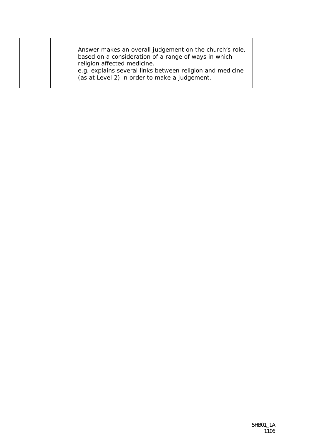| e.g. explains several links between religion and medicine<br>(as at Level 2) in order to make a judgement. |  | Answer makes an overall judgement on the church's role,<br>based on a consideration of a range of ways in which<br>religion affected medicine. |
|------------------------------------------------------------------------------------------------------------|--|------------------------------------------------------------------------------------------------------------------------------------------------|
|------------------------------------------------------------------------------------------------------------|--|------------------------------------------------------------------------------------------------------------------------------------------------|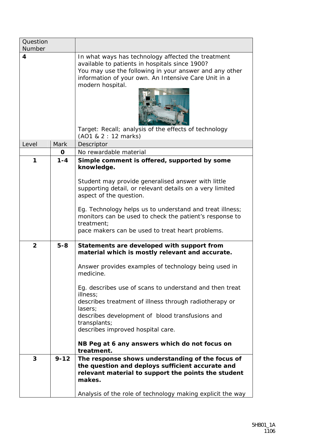| Question<br>Number |             |                                                                                                                                                                                                                                                                                                                                                                                                                                                                                              |
|--------------------|-------------|----------------------------------------------------------------------------------------------------------------------------------------------------------------------------------------------------------------------------------------------------------------------------------------------------------------------------------------------------------------------------------------------------------------------------------------------------------------------------------------------|
| 4                  |             | In what ways has technology affected the treatment<br>available to patients in hospitals since 1900?<br>You may use the following in your answer and any other<br>information of your own. An Intensive Care Unit in a<br>modern hospital.<br>Target: Recall; analysis of the effects of technology<br>(AO1 & 2 : 12 marks)                                                                                                                                                                  |
| Level              | <b>Mark</b> | Descriptor                                                                                                                                                                                                                                                                                                                                                                                                                                                                                   |
|                    | O           | No rewardable material                                                                                                                                                                                                                                                                                                                                                                                                                                                                       |
| 1                  | $1 - 4$     | Simple comment is offered, supported by some<br>knowledge.<br>Student may provide generalised answer with little<br>supporting detail, or relevant details on a very limited<br>aspect of the question.<br>Eg. Technology helps us to understand and treat illness;<br>monitors can be used to check the patient's response to<br>treatment:<br>pace makers can be used to treat heart problems.                                                                                             |
| $\overline{2}$     | $5 - 8$     | Statements are developed with support from<br>material which is mostly relevant and accurate.<br>Answer provides examples of technology being used in<br>medicine.<br>Eg. describes use of scans to understand and then treat<br><i>illness;</i><br>describes treatment of illness through radiotherapy or<br>lasers;<br>describes development of blood transfusions and<br>transplants;<br>describes improved hospital care.<br>NB Peg at 6 any answers which do not focus on<br>treatment. |
| 3                  | $9 - 12$    | The response shows understanding of the focus of<br>the question and deploys sufficient accurate and<br>relevant material to support the points the student<br>makes.<br>Analysis of the role of technology making explicit the way                                                                                                                                                                                                                                                          |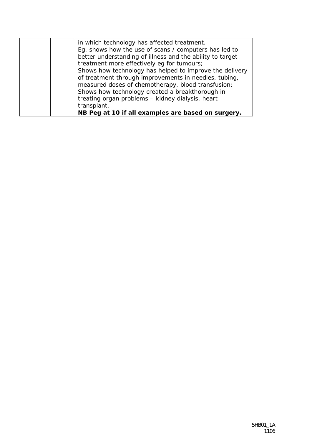| in which technology has affected treatment.               |
|-----------------------------------------------------------|
| Eg. shows how the use of scans / computers has led to     |
| better understanding of illness and the ability to target |
| treatment more effectively eg for tumours;                |
| Shows how technology has helped to improve the delivery   |
| of treatment through improvements in needles, tubing,     |
| measured doses of chemotherapy, blood transfusion;        |
| Shows how technology created a breakthorough in           |
| treating organ problems - kidney dialysis, heart          |
| transplant.                                               |
| NB Peg at 10 if all examples are based on surgery.        |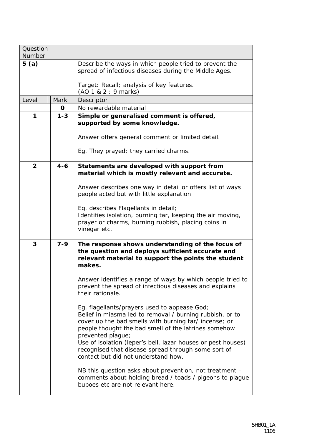| Question       |             |                                                                                                                                                                                                                                                                                                                                                                                                             |
|----------------|-------------|-------------------------------------------------------------------------------------------------------------------------------------------------------------------------------------------------------------------------------------------------------------------------------------------------------------------------------------------------------------------------------------------------------------|
| Number         |             |                                                                                                                                                                                                                                                                                                                                                                                                             |
| 5(a)           |             | Describe the ways in which people tried to prevent the<br>spread of infectious diseases during the Middle Ages.                                                                                                                                                                                                                                                                                             |
|                |             | Target: Recall; analysis of key features.<br>(AO 1 & 2 : 9 marks)                                                                                                                                                                                                                                                                                                                                           |
| Level          | <b>Mark</b> | Descriptor                                                                                                                                                                                                                                                                                                                                                                                                  |
|                | 0           | No rewardable material                                                                                                                                                                                                                                                                                                                                                                                      |
| 1              | $1 - 3$     | Simple or generalised comment is offered,<br>supported by some knowledge.<br>Answer offers general comment or limited detail.                                                                                                                                                                                                                                                                               |
|                |             | Eg. They prayed; they carried charms.                                                                                                                                                                                                                                                                                                                                                                       |
| $\overline{2}$ | $4 - 6$     | Statements are developed with support from<br>material which is mostly relevant and accurate.                                                                                                                                                                                                                                                                                                               |
|                |             | Answer describes one way in detail or offers list of ways<br>people acted but with little explanation                                                                                                                                                                                                                                                                                                       |
|                |             | Eg. describes Flagellants in detail;<br>Identifies isolation, burning tar, keeping the air moving,<br>prayer or charms, burning rubbish, placing coins in<br>vinegar etc.                                                                                                                                                                                                                                   |
| 3              | $7 - 9$     | The response shows understanding of the focus of<br>the question and deploys sufficient accurate and<br>relevant material to support the points the student<br>makes.                                                                                                                                                                                                                                       |
|                |             | Answer identifies a range of ways by which people tried to<br>prevent the spread of infectious diseases and explains<br>their rationale.                                                                                                                                                                                                                                                                    |
|                |             | Eg. flagellants/prayers used to appease God;<br>Belief in miasma led to removal / burning rubbish, or to<br>cover up the bad smells with burning tar/incense; or<br>people thought the bad smell of the latrines somehow<br>prevented plague;<br>Use of isolation (leper's bell, lazar houses or pest houses)<br>recognised that disease spread through some sort of<br>contact but did not understand how. |
|                |             | NB this question asks about prevention, not treatment -<br>comments about holding bread / toads / pigeons to plaque<br>buboes etc are not relevant here.                                                                                                                                                                                                                                                    |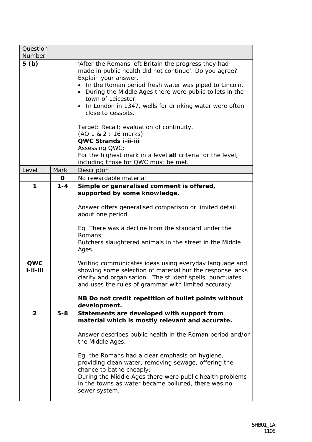| Question<br>Number   |             |                                                                                                                                                                                                                                                                                                                                                                                                                                                                                                                                                                                                                    |
|----------------------|-------------|--------------------------------------------------------------------------------------------------------------------------------------------------------------------------------------------------------------------------------------------------------------------------------------------------------------------------------------------------------------------------------------------------------------------------------------------------------------------------------------------------------------------------------------------------------------------------------------------------------------------|
| 5(b)                 |             | 'After the Romans left Britain the progress they had<br>made in public health did not continue'. Do you agree?<br>Explain your answer.<br>In the Roman period fresh water was piped to Lincoln.<br>During the Middle Ages there were public toilets in the<br>$\bullet$<br>town of Leicester.<br>In London in 1347, wells for drinking water were often<br>$\bullet$<br>close to cesspits.<br>Target: Recall; evaluation of continuity.<br>(AO 1 & 2 : 16 marks)<br>QWC Strands i-ii-iii<br>Assessing QWC:<br>For the highest mark in a level all criteria for the level,<br>including those for QWC must be met.  |
| Level                | <b>Mark</b> | Descriptor                                                                                                                                                                                                                                                                                                                                                                                                                                                                                                                                                                                                         |
|                      | O           | No rewardable material                                                                                                                                                                                                                                                                                                                                                                                                                                                                                                                                                                                             |
| 1<br>QWC<br>i-ii-iii | $1 - 4$     | Simple or generalised comment is offered,<br>supported by some knowledge.<br>Answer offers generalised comparison or limited detail<br>about one period.<br>Eg. There was a decline from the standard under the<br>Romans;<br>Butchers slaughtered animals in the street in the Middle<br>Ages.<br>Writing communicates ideas using everyday language and<br>showing some selection of material but the response lacks<br>clarity and organisation. The student spells, punctuates<br>and uses the rules of grammar with limited accuracy.<br>NB Do not credit repetition of bullet points without<br>development. |
| $\overline{2}$       | $5 - 8$     | Statements are developed with support from<br>material which is mostly relevant and accurate.<br>Answer describes public health in the Roman period and/or<br>the Middle Ages.<br>Eg. the Romans had a clear emphasis on hygiene,<br>providing clean water, removing sewage, offering the<br>chance to bathe cheaply;<br>During the Middle Ages there were public health problems<br>in the towns as water became polluted, there was no<br>sewer system.                                                                                                                                                          |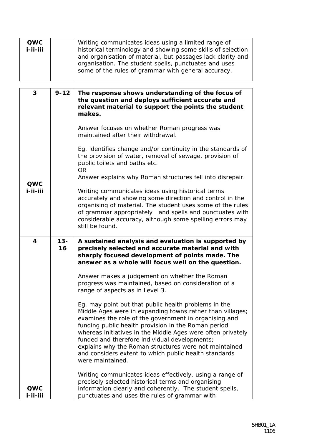| QWC<br>i-ii-iii         |              | Writing communicates ideas using a limited range of<br>historical terminology and showing some skills of selection<br>and organisation of material, but passages lack clarity and<br>organisation. The student spells, punctuates and uses<br>some of the rules of grammar with general accuracy.                                                                                                                                                                                       |
|-------------------------|--------------|-----------------------------------------------------------------------------------------------------------------------------------------------------------------------------------------------------------------------------------------------------------------------------------------------------------------------------------------------------------------------------------------------------------------------------------------------------------------------------------------|
|                         |              |                                                                                                                                                                                                                                                                                                                                                                                                                                                                                         |
| 3                       | $9 - 12$     | The response shows understanding of the focus of<br>the question and deploys sufficient accurate and<br>relevant material to support the points the student<br>makes.                                                                                                                                                                                                                                                                                                                   |
|                         |              | Answer focuses on whether Roman progress was<br>maintained after their withdrawal.                                                                                                                                                                                                                                                                                                                                                                                                      |
|                         |              | Eq. identifies change and/or continuity in the standards of<br>the provision of water, removal of sewage, provision of<br>public toilets and baths etc.<br><b>OR</b>                                                                                                                                                                                                                                                                                                                    |
|                         |              | Answer explains why Roman structures fell into disrepair.                                                                                                                                                                                                                                                                                                                                                                                                                               |
| QWC<br>i-ii-iii         |              | Writing communicates ideas using historical terms<br>accurately and showing some direction and control in the<br>organising of material. The student uses some of the rules<br>of grammar appropriately and spells and punctuates with<br>considerable accuracy, although some spelling errors may<br>still be found.                                                                                                                                                                   |
| $\overline{\mathbf{4}}$ | $13 -$<br>16 | A sustained analysis and evaluation is supported by<br>precisely selected and accurate material and with<br>sharply focused development of points made. The<br>answer as a whole will focus well on the question.                                                                                                                                                                                                                                                                       |
|                         |              | Answer makes a judgement on whether the Roman<br>progress was maintained, based on consideration of a<br>range of aspects as in Level 3.                                                                                                                                                                                                                                                                                                                                                |
|                         |              | Eg. may point out that public health problems in the<br>Middle Ages were in expanding towns rather than villages;<br>examines the role of the government in organising and<br>funding public health provision in the Roman period<br>whereas initiatives in the Middle Ages were often privately<br>funded and therefore individual developments;<br>explains why the Roman structures were not maintained<br>and considers extent to which public health standards<br>were maintained. |
| QWC<br>i-ii-iii         |              | Writing communicates ideas effectively, using a range of<br>precisely selected historical terms and organising<br>information clearly and coherently. The student spells,<br>punctuates and uses the rules of grammar with                                                                                                                                                                                                                                                              |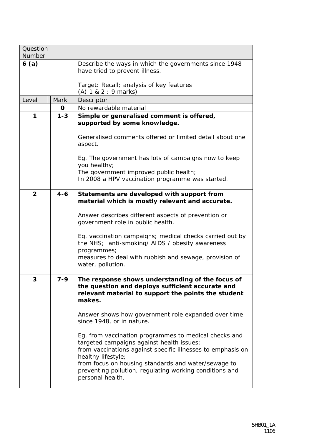| Question<br>Number |         |                                                                                                                                                                                                                                                                                                                               |
|--------------------|---------|-------------------------------------------------------------------------------------------------------------------------------------------------------------------------------------------------------------------------------------------------------------------------------------------------------------------------------|
| 6(a)               |         | Describe the ways in which the governments since 1948<br>have tried to prevent illness.                                                                                                                                                                                                                                       |
|                    |         | Target: Recall; analysis of key features<br>(A) 1 & 2 : 9 marks)                                                                                                                                                                                                                                                              |
| Level              | Mark    | Descriptor                                                                                                                                                                                                                                                                                                                    |
|                    | 0       | No rewardable material                                                                                                                                                                                                                                                                                                        |
| 1                  | $1 - 3$ | Simple or generalised comment is offered,<br>supported by some knowledge.                                                                                                                                                                                                                                                     |
|                    |         | Generalised comments offered or limited detail about one<br>aspect.                                                                                                                                                                                                                                                           |
|                    |         | Eg. The government has lots of campaigns now to keep<br>you healthy;                                                                                                                                                                                                                                                          |
|                    |         | The government improved public health;<br>In 2008 a HPV vaccination programme was started.                                                                                                                                                                                                                                    |
| $\overline{2}$     | $4 - 6$ | Statements are developed with support from<br>material which is mostly relevant and accurate.                                                                                                                                                                                                                                 |
|                    |         | Answer describes different aspects of prevention or<br>government role in public health.                                                                                                                                                                                                                                      |
|                    |         | Eg. vaccination campaigns; medical checks carried out by<br>the NHS; anti-smoking/ AIDS / obesity awareness<br>programmes;                                                                                                                                                                                                    |
|                    |         | measures to deal with rubbish and sewage, provision of<br>water, pollution.                                                                                                                                                                                                                                                   |
| 3                  |         | The response shows understanding of the focus of<br>the question and deploys sufficient accurate and<br>relevant material to support the points the student<br>makes.                                                                                                                                                         |
|                    |         | Answer shows how government role expanded over time<br>since 1948, or in nature.                                                                                                                                                                                                                                              |
|                    |         | Eg. from vaccination programmes to medical checks and<br>targeted campaigns against health issues;<br>from vaccinations against specific illnesses to emphasis on<br>healthy lifestyle;<br>from focus on housing standards and water/sewage to<br>preventing pollution, regulating working conditions and<br>personal health. |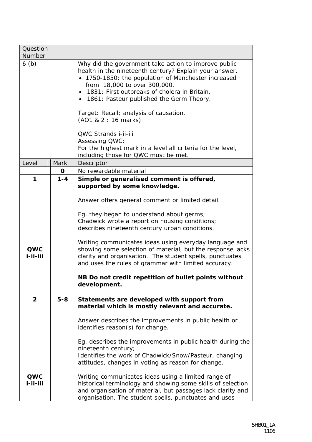| Question<br>Number |             |                                                                                                                                                                                                                                                                                                                                                                                                                                                                                                                        |
|--------------------|-------------|------------------------------------------------------------------------------------------------------------------------------------------------------------------------------------------------------------------------------------------------------------------------------------------------------------------------------------------------------------------------------------------------------------------------------------------------------------------------------------------------------------------------|
| 6(b)               |             | Why did the government take action to improve public<br>health in the nineteenth century? Explain your answer.<br>• 1750-1850: the population of Manchester increased<br>from 18,000 to over 300,000.<br>1831: First outbreaks of cholera in Britain.<br>• 1861: Pasteur published the Germ Theory.<br>Target: Recall; analysis of causation.<br>(AO1 & 2 : 16 marks)<br>QWC Strands i-ii-iii<br>Assessing QWC:<br>For the highest mark in a level all criteria for the level,<br>including those for QWC must be met. |
| Level              | <b>Mark</b> | Descriptor                                                                                                                                                                                                                                                                                                                                                                                                                                                                                                             |
|                    | 0           | No rewardable material                                                                                                                                                                                                                                                                                                                                                                                                                                                                                                 |
| $\mathbf{1}$       | $1 - 4$     | Simple or generalised comment is offered,<br>supported by some knowledge.                                                                                                                                                                                                                                                                                                                                                                                                                                              |
|                    |             | Answer offers general comment or limited detail.                                                                                                                                                                                                                                                                                                                                                                                                                                                                       |
|                    |             | Eg. they began to understand about germs;                                                                                                                                                                                                                                                                                                                                                                                                                                                                              |
|                    |             | Chadwick wrote a report on housing conditions;<br>describes nineteenth century urban conditions.                                                                                                                                                                                                                                                                                                                                                                                                                       |
| QWC<br>i-ii-iii    |             | Writing communicates ideas using everyday language and<br>showing some selection of material, but the response lacks<br>clarity and organisation. The student spells, punctuates<br>and uses the rules of grammar with limited accuracy.                                                                                                                                                                                                                                                                               |
|                    |             | NB Do not credit repetition of bullet points without<br>development.                                                                                                                                                                                                                                                                                                                                                                                                                                                   |
| $\overline{2}$     | $5 - 8$     | Statements are developed with support from<br>material which is mostly relevant and accurate.                                                                                                                                                                                                                                                                                                                                                                                                                          |
|                    |             | Answer describes the improvements in public health or<br>identifies reason(s) for change.                                                                                                                                                                                                                                                                                                                                                                                                                              |
|                    |             | Eg. describes the improvements in public health during the<br>nineteenth century;<br>Identifies the work of Chadwick/Snow/Pasteur, changing<br>attitudes, changes in voting as reason for change.                                                                                                                                                                                                                                                                                                                      |
| QWC<br>i-ii-iii    |             | Writing communicates ideas using a limited range of<br>historical terminology and showing some skills of selection<br>and organisation of material, but passages lack clarity and<br>organisation. The student spells, punctuates and uses                                                                                                                                                                                                                                                                             |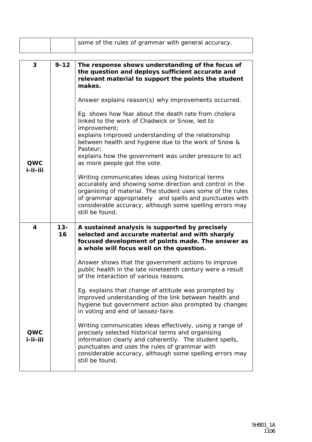|                         |              | some of the rules of grammar with general accuracy.                                                                                                                                                                                                                                                                   |
|-------------------------|--------------|-----------------------------------------------------------------------------------------------------------------------------------------------------------------------------------------------------------------------------------------------------------------------------------------------------------------------|
|                         |              |                                                                                                                                                                                                                                                                                                                       |
| 3                       | $9 - 12$     | The response shows understanding of the focus of<br>the question and deploys sufficient accurate and<br>relevant material to support the points the student<br>makes.                                                                                                                                                 |
|                         |              | Answer explains reason(s) why improvements occurred.                                                                                                                                                                                                                                                                  |
|                         |              | Eg. shows how fear about the death rate from cholera<br>linked to the work of Chadwick or Snow, led to<br>improvement;                                                                                                                                                                                                |
|                         |              | explains Improved understanding of the relationship<br>between health and hygiene due to the work of Snow &<br>Pasteur:                                                                                                                                                                                               |
| QWC<br>i-ii-iii         |              | explains how the government was under pressure to act<br>as more people got the vote.                                                                                                                                                                                                                                 |
|                         |              | Writing communicates ideas using historical terms<br>accurately and showing some direction and control in the<br>organising of material. The student uses some of the rules<br>of grammar appropriately and spells and punctuates with<br>considerable accuracy, although some spelling errors may<br>still be found. |
| $\overline{\mathbf{4}}$ | $13 -$<br>16 | A sustained analysis is supported by precisely<br>selected and accurate material and with sharply<br>focused development of points made. The answer as<br>a whole will focus well on the question.                                                                                                                    |
|                         |              | Answer shows that the government actions to improve<br>public health in the late nineteenth century were a result<br>of the interaction of various reasons.                                                                                                                                                           |
|                         |              | Eg. explains that change of attitude was prompted by<br>improved understanding of the link between health and<br>hygiene but government action also prompted by changes<br>in voting and end of laissez-faire.                                                                                                        |
| QWC<br>i-ii-iii         |              | Writing communicates ideas effectively, using a range of<br>precisely selected historical terms and organising<br>information clearly and coherently. The student spells,<br>punctuates and uses the rules of grammar with<br>considerable accuracy, although some spelling errors may<br>still be found.             |